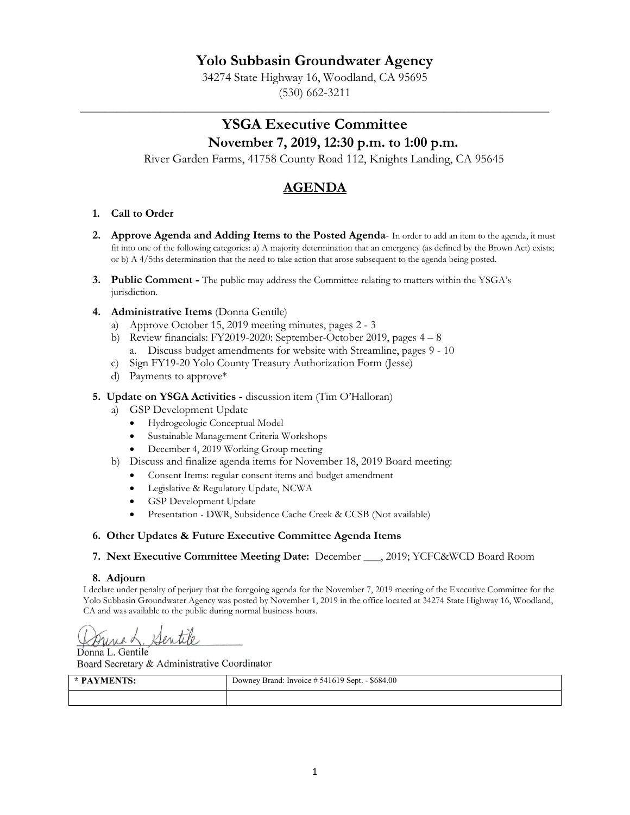## **Yolo Subbasin Groundwater Agency**

34274 State Highway 16, Woodland, CA 95695 (530) 662-3211

\_\_\_\_\_\_\_\_\_\_\_\_\_\_\_\_\_\_\_\_\_\_\_\_\_\_\_\_\_\_\_\_\_\_\_\_\_\_\_\_\_\_\_\_\_\_\_\_\_\_\_\_\_\_\_\_\_\_\_\_\_\_\_\_\_\_\_\_\_\_\_\_\_\_\_\_

## **YSGA Executive Committee November 7, 2019, 12:30 p.m. to 1:00 p.m.**

River Garden Farms, 41758 County Road 112, Knights Landing, CA 95645

# **AGENDA**

### **1. Call to Order**

- 2. Approve Agenda and Adding Items to the Posted Agenda- In order to add an item to the agenda, it must fit into one of the following categories: a) A majority determination that an emergency (as defined by the Brown Act) exists; or b) A 4/5ths determination that the need to take action that arose subsequent to the agenda being posted.
- **3. Public Comment -** The public may address the Committee relating to matters within the YSGA's jurisdiction.
- **4. Administrative Items** (Donna Gentile)
	- a) Approve October 15, 2019 meeting minutes, pages 2 3
	- b) Review financials: FY2019-2020: September-October 2019, pages 4 8 a. Discuss budget amendments for website with Streamline, pages 9 - 10
	- c) Sign FY19-20 Yolo County Treasury Authorization Form (Jesse)
	- d) Payments to approve\*

### **5. Update on YSGA Activities -** discussion item (Tim O'Halloran)

- a) GSP Development Update
	- Hydrogeologic Conceptual Model
	- Sustainable Management Criteria Workshops
	- December 4, 2019 Working Group meeting
- b) Discuss and finalize agenda items for November 18, 2019 Board meeting:
	- Consent Items: regular consent items and budget amendment
	- Legislative & Regulatory Update, NCWA
	- GSP Development Update
	- Presentation DWR, Subsidence Cache Creek & CCSB (Not available)

### **6. Other Updates & Future Executive Committee Agenda Items**

**7. Next Executive Committee Meeting Date:** December \_\_\_, 2019; YCFC&WCD Board Room

### **8. Adjourn**

I declare under penalty of perjury that the foregoing agenda for the November 7, 2019 meeting of the Executive Committee for the Yolo Subbasin Groundwater Agency was posted by November 1, 2019 in the office located at 34274 State Highway 16, Woodland, CA and was available to the public during normal business hours.

Sentile unad

Donna L. Gentile Board Secretary & Administrative Coordinator

| * PAYMENTS: | Downey Brand: Invoice # 541619 Sept. - \$684.00 |
|-------------|-------------------------------------------------|
|             |                                                 |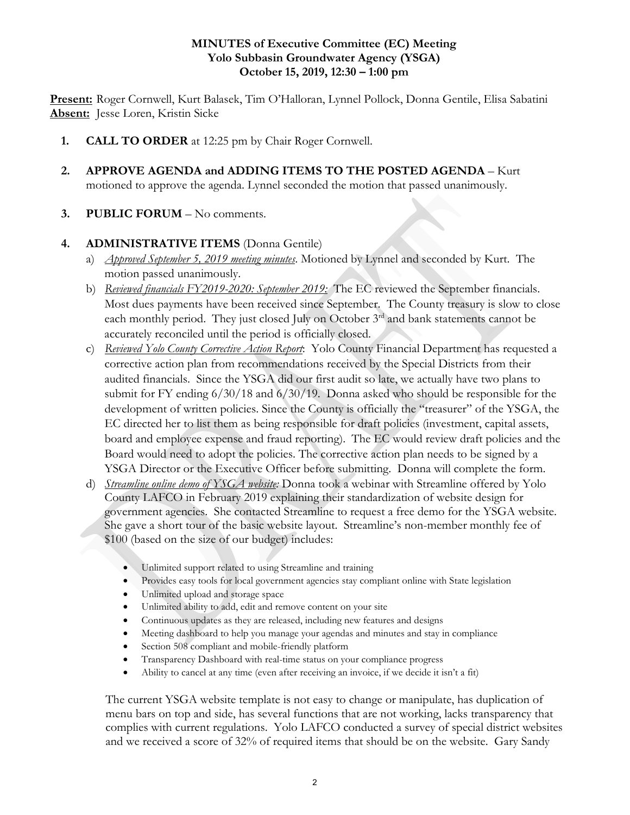### **MINUTES of Executive Committee (EC) Meeting Yolo Subbasin Groundwater Agency (YSGA) October 15, 2019, 12:30 – 1:00 pm**

**Present:** Roger Cornwell, Kurt Balasek, Tim O'Halloran, Lynnel Pollock, Donna Gentile, Elisa Sabatini **Absent:** Jesse Loren, Kristin Sicke

- **1. CALL TO ORDER** at 12:25 pm by Chair Roger Cornwell.
- **2. APPROVE AGENDA and ADDING ITEMS TO THE POSTED AGENDA** Kurt motioned to approve the agenda. Lynnel seconded the motion that passed unanimously.
- **3. PUBLIC FORUM** No comments.

## **4. ADMINISTRATIVE ITEMS** (Donna Gentile)

- a) *Approved September 5, 2019 meeting minutes*. Motioned by Lynnel and seconded by Kurt. The motion passed unanimously.
- b) *Reviewed financials FY2019-2020: September 2019:* The EC reviewed the September financials. Most dues payments have been received since September. The County treasury is slow to close each monthly period. They just closed July on October 3<sup>rd</sup> and bank statements cannot be accurately reconciled until the period is officially closed.
- c) *Reviewed Yolo County Corrective Action Report*: Yolo County Financial Department has requested a corrective action plan from recommendations received by the Special Districts from their audited financials. Since the YSGA did our first audit so late, we actually have two plans to submit for FY ending 6/30/18 and 6/30/19. Donna asked who should be responsible for the development of written policies. Since the County is officially the "treasurer" of the YSGA, the EC directed her to list them as being responsible for draft policies (investment, capital assets, board and employee expense and fraud reporting). The EC would review draft policies and the Board would need to adopt the policies. The corrective action plan needs to be signed by a YSGA Director or the Executive Officer before submitting. Donna will complete the form.
- d) *Streamline online demo of YSGA website:* Donna took a webinar with Streamline offered by Yolo County LAFCO in February 2019 explaining their standardization of website design for government agencies. She contacted Streamline to request a free demo for the YSGA website. She gave a short tour of the basic website layout. Streamline's non-member monthly fee of \$100 (based on the size of our budget) includes:
	- Unlimited support related to using Streamline and training
	- Provides easy tools for local government agencies stay compliant online with State legislation
	- Unlimited upload and storage space
	- Unlimited ability to add, edit and remove content on your site
	- Continuous updates as they are released, including new features and designs
	- Meeting dashboard to help you manage your agendas and minutes and stay in compliance
	- Section 508 compliant and mobile-friendly platform
	- Transparency Dashboard with real-time status on your compliance progress
	- Ability to cancel at any time (even after receiving an invoice, if we decide it isn't a fit)

The current YSGA website template is not easy to change or manipulate, has duplication of menu bars on top and side, has several functions that are not working, lacks transparency that complies with current regulations. Yolo LAFCO conducted a survey of special district websites and we received a score of 32% of required items that should be on the website. Gary Sandy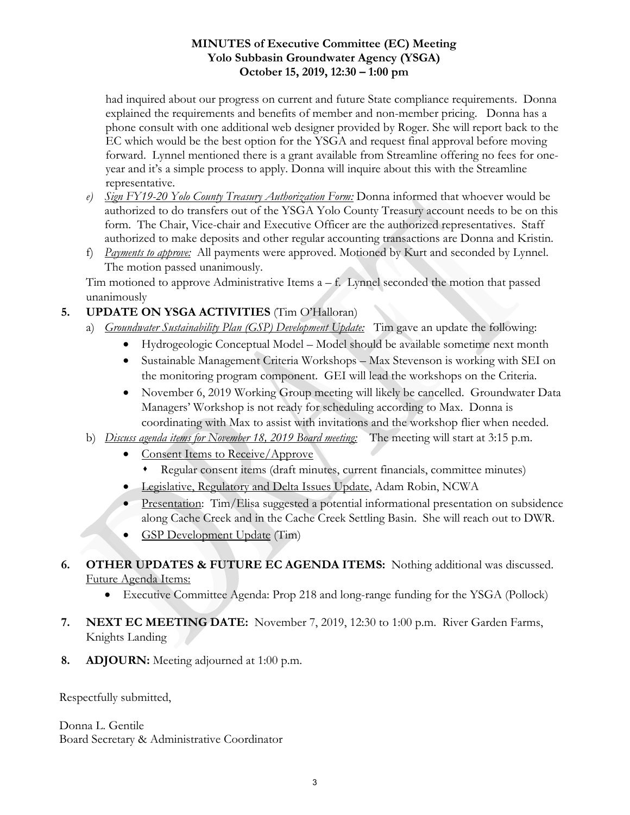## **MINUTES of Executive Committee (EC) Meeting Yolo Subbasin Groundwater Agency (YSGA) October 15, 2019, 12:30 – 1:00 pm**

had inquired about our progress on current and future State compliance requirements. Donna explained the requirements and benefits of member and non-member pricing. Donna has a phone consult with one additional web designer provided by Roger. She will report back to the EC which would be the best option for the YSGA and request final approval before moving forward. Lynnel mentioned there is a grant available from Streamline offering no fees for oneyear and it's a simple process to apply. Donna will inquire about this with the Streamline representative.

- *e) Sign FY19-20 Yolo County Treasury Authorization Form:* Donna informed that whoever would be authorized to do transfers out of the YSGA Yolo County Treasury account needs to be on this form. The Chair, Vice-chair and Executive Officer are the authorized representatives. Staff authorized to make deposits and other regular accounting transactions are Donna and Kristin.
- f) *Payments to approve:* All payments were approved. Motioned by Kurt and seconded by Lynnel. The motion passed unanimously.

Tim motioned to approve Administrative Items  $a - f$ . Lynnel seconded the motion that passed unanimously

## **5. UPDATE ON YSGA ACTIVITIES** (Tim O'Halloran)

- a) *Groundwater Sustainability Plan (GSP) Development Update:* Tim gave an update the following:
	- Hydrogeologic Conceptual Model Model should be available sometime next month
	- Sustainable Management Criteria Workshops Max Stevenson is working with SEI on the monitoring program component. GEI will lead the workshops on the Criteria.
	- November 6, 2019 Working Group meeting will likely be cancelled. Groundwater Data Managers' Workshop is not ready for scheduling according to Max. Donna is coordinating with Max to assist with invitations and the workshop flier when needed.
- b) *Discuss agenda items for November 18, 2019 Board meeting:* The meeting will start at 3:15 p.m.
	- Consent Items to Receive/Approve
		- Regular consent items (draft minutes, current financials, committee minutes)
	- Legislative, Regulatory and Delta Issues Update, Adam Robin, NCWA
	- Presentation: Tim/Elisa suggested a potential informational presentation on subsidence along Cache Creek and in the Cache Creek Settling Basin. She will reach out to DWR.
	- GSP Development Update (Tim)
- **6. OTHER UPDATES & FUTURE EC AGENDA ITEMS:** Nothing additional was discussed. Future Agenda Items:
	- Executive Committee Agenda: Prop 218 and long-range funding for the YSGA (Pollock)
- **7. NEXT EC MEETING DATE:** November 7, 2019, 12:30 to 1:00 p.m. River Garden Farms, Knights Landing
- **8. ADJOURN:** Meeting adjourned at 1:00 p.m.

Respectfully submitted,

Donna L. Gentile Board Secretary & Administrative Coordinator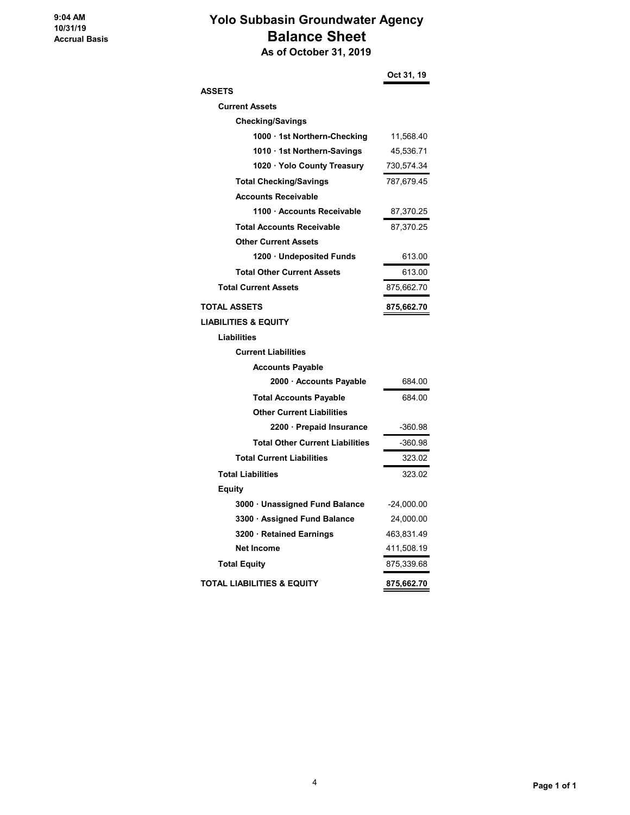# **Yolo Subbasin Groundwater Agency Balance Sheet**

 **As of October 31, 2019**

|                                        | Oct 31, 19   |
|----------------------------------------|--------------|
| <b>ASSETS</b>                          |              |
| <b>Current Assets</b>                  |              |
| <b>Checking/Savings</b>                |              |
| 1000 · 1st Northern-Checking           | 11,568.40    |
| 1010 1st Northern-Savings              | 45,536.71    |
| 1020 · Yolo County Treasury            | 730,574.34   |
| <b>Total Checking/Savings</b>          | 787,679.45   |
| <b>Accounts Receivable</b>             |              |
| 1100 Accounts Receivable               | 87,370.25    |
| <b>Total Accounts Receivable</b>       | 87,370.25    |
| <b>Other Current Assets</b>            |              |
| 1200 · Undeposited Funds               | 613.00       |
| <b>Total Other Current Assets</b>      | 613.00       |
| <b>Total Current Assets</b>            | 875,662.70   |
| <b>TOTAL ASSETS</b>                    | 875,662.70   |
| <b>LIABILITIES &amp; EQUITY</b>        |              |
| <b>Liabilities</b>                     |              |
| <b>Current Liabilities</b>             |              |
| <b>Accounts Payable</b>                |              |
| 2000 · Accounts Payable                | 684.00       |
| <b>Total Accounts Payable</b>          | 684.00       |
| <b>Other Current Liabilities</b>       |              |
| 2200 · Prepaid Insurance               | $-360.98$    |
| <b>Total Other Current Liabilities</b> | -360.98      |
| <b>Total Current Liabilities</b>       | 323.02       |
| <b>Total Liabilities</b>               | 323.02       |
| <b>Equity</b>                          |              |
| 3000 · Unassigned Fund Balance         | $-24,000.00$ |
| 3300 · Assigned Fund Balance           | 24,000.00    |
| 3200 Retained Earnings                 | 463,831.49   |
| <b>Net Income</b>                      | 411,508.19   |
| <b>Total Equity</b>                    | 875,339.68   |
| <b>TOTAL LIABILITIES &amp; EQUITY</b>  | 875,662.70   |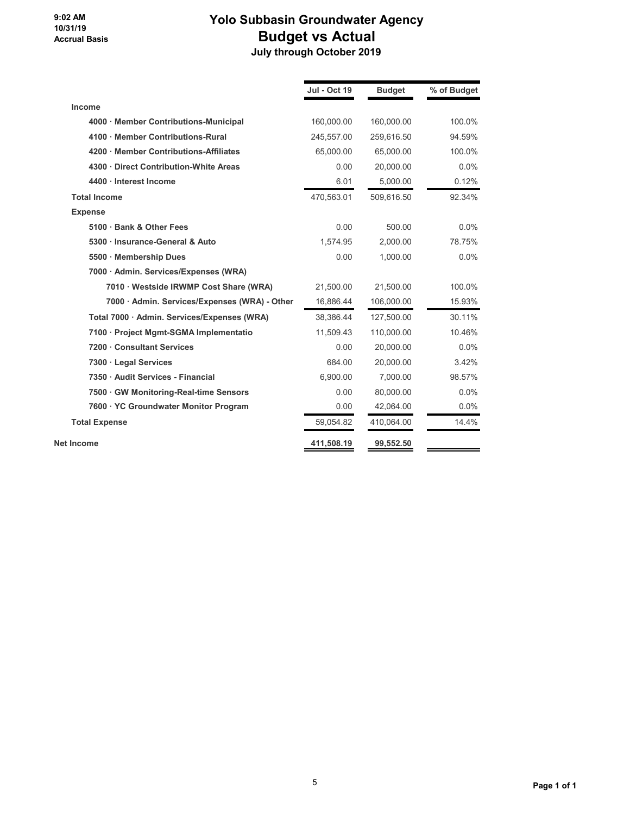### **9:02 AM 10/31/19 Accrual Basis**

# **Yolo Subbasin Groundwater Agency Budget vs Actual July through October 2019**

|                                               | <b>Jul - Oct 19</b> | <b>Budget</b> | % of Budget |
|-----------------------------------------------|---------------------|---------------|-------------|
| Income                                        |                     |               |             |
| 4000 · Member Contributions-Municipal         | 160.000.00          | 160,000.00    | 100.0%      |
| 4100 · Member Contributions-Rural             | 245,557.00          | 259,616.50    | 94.59%      |
| 4200 Member Contributions-Affiliates          | 65.000.00           | 65,000.00     | 100.0%      |
| 4300 Direct Contribution-White Areas          | 0.00                | 20,000.00     | 0.0%        |
| 4400 · Interest Income                        | 6.01                | 5,000.00      | 0.12%       |
| <b>Total Income</b>                           | 470,563.01          | 509,616.50    | 92.34%      |
| <b>Expense</b>                                |                     |               |             |
| 5100 · Bank & Other Fees                      | 0.00                | 500.00        | $0.0\%$     |
| 5300 · Insurance-General & Auto               | 1,574.95            | 2,000.00      | 78.75%      |
| 5500 · Membership Dues                        | 0.00                | 1,000.00      | $0.0\%$     |
| 7000 · Admin. Services/Expenses (WRA)         |                     |               |             |
| 7010 · Westside IRWMP Cost Share (WRA)        | 21,500.00           | 21,500.00     | 100.0%      |
| 7000 · Admin. Services/Expenses (WRA) - Other | 16,886.44           | 106,000.00    | 15.93%      |
| Total 7000 · Admin. Services/Expenses (WRA)   | 38,386.44           | 127,500.00    | 30.11%      |
| 7100 · Project Mgmt-SGMA Implementatio        | 11,509.43           | 110,000.00    | 10.46%      |
| 7200 Consultant Services                      | 0.00                | 20.000.00     | 0.0%        |
| 7300 · Legal Services                         | 684.00              | 20,000.00     | 3.42%       |
| 7350 · Audit Services - Financial             | 6,900.00            | 7,000.00      | 98.57%      |
| 7500 GW Monitoring-Real-time Sensors          | 0.00                | 80,000.00     | 0.0%        |
| 7600 · YC Groundwater Monitor Program         | 0.00                | 42,064.00     | $0.0\%$     |
| <b>Total Expense</b>                          | 59,054.82           | 410,064.00    | 14.4%       |
| <b>Net Income</b>                             | 411,508.19          | 99,552.50     |             |
|                                               |                     |               |             |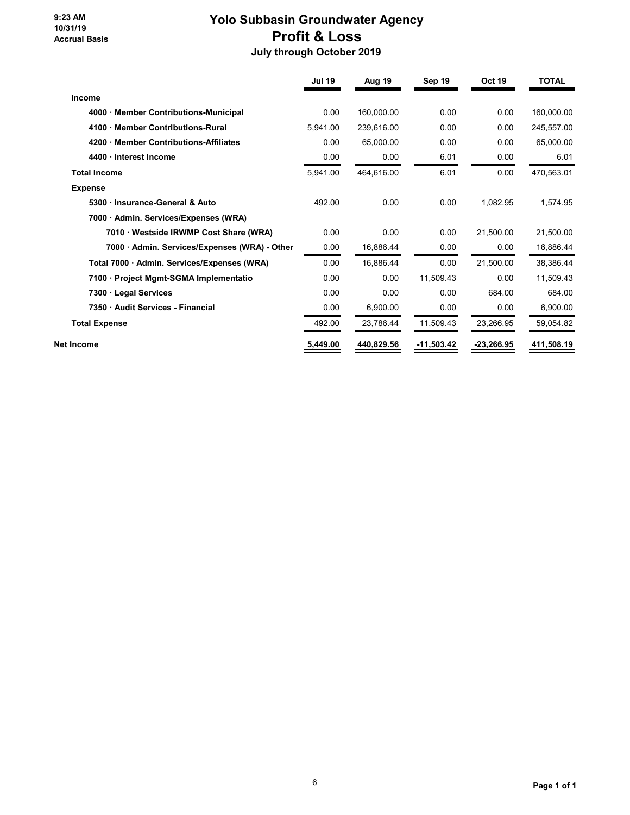#### **9:23 AM 10/31/19 Accrual Basis**

# **Yolo Subbasin Groundwater Agency Profit & Loss July through October 2019**

|                                               | <b>Jul 19</b> | Aug 19     | Sep 19       | <b>Oct 19</b> | <b>TOTAL</b> |
|-----------------------------------------------|---------------|------------|--------------|---------------|--------------|
| Income                                        |               |            |              |               |              |
| 4000 · Member Contributions-Municipal         | 0.00          | 160,000.00 | 0.00         | 0.00          | 160,000.00   |
| 4100 Member Contributions-Rural               | 5,941.00      | 239,616.00 | 0.00         | 0.00          | 245,557.00   |
| 4200 Member Contributions-Affiliates          | 0.00          | 65,000.00  | 0.00         | 0.00          | 65,000.00    |
| 4400 · Interest Income                        | 0.00          | 0.00       | 6.01         | 0.00          | 6.01         |
| <b>Total Income</b>                           | 5,941.00      | 464,616.00 | 6.01         | 0.00          | 470,563.01   |
| <b>Expense</b>                                |               |            |              |               |              |
| 5300 Insurance-General & Auto                 | 492.00        | 0.00       | 0.00         | 1,082.95      | 1,574.95     |
| 7000 Admin. Services/Expenses (WRA)           |               |            |              |               |              |
| 7010 · Westside IRWMP Cost Share (WRA)        | 0.00          | 0.00       | 0.00         | 21,500.00     | 21,500.00    |
| 7000 · Admin. Services/Expenses (WRA) - Other | 0.00          | 16,886.44  | 0.00         | 0.00          | 16,886.44    |
| Total 7000 · Admin. Services/Expenses (WRA)   | 0.00          | 16,886.44  | 0.00         | 21,500.00     | 38,386.44    |
| 7100 · Project Mgmt-SGMA Implementatio        | 0.00          | 0.00       | 11,509.43    | 0.00          | 11,509.43    |
| 7300 Legal Services                           | 0.00          | 0.00       | 0.00         | 684.00        | 684.00       |
| 7350 Audit Services - Financial               | 0.00          | 6,900.00   | 0.00         | 0.00          | 6,900.00     |
| <b>Total Expense</b>                          | 492.00        | 23,786.44  | 11,509.43    | 23,266.95     | 59,054.82    |
| Net Income                                    | 5,449.00      | 440,829.56 | $-11,503.42$ | $-23,266.95$  | 411,508.19   |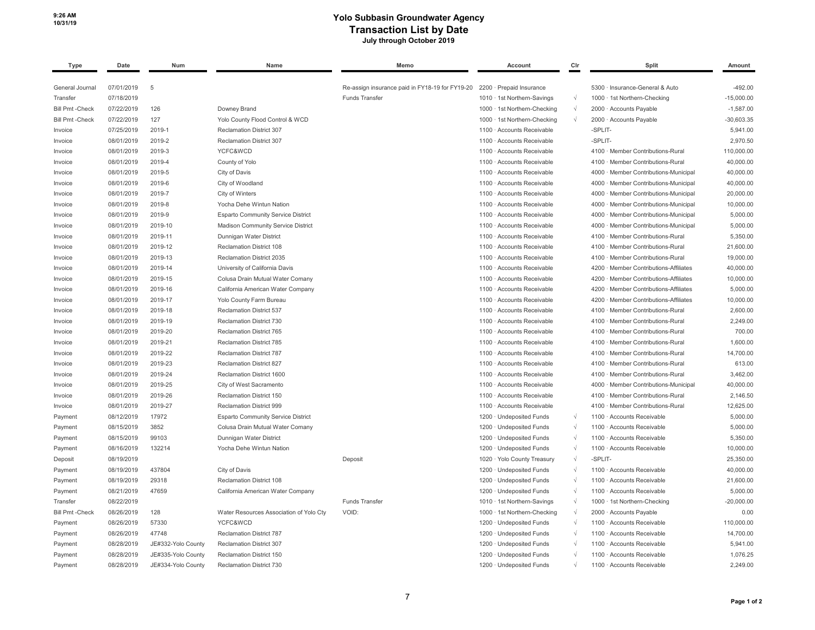#### **10/31/19 Yolo Subbasin Groundwater Agency Transaction List by Date July through October 2019**

| <b>Type</b>            | Date       | Num                | Name                                      | Memo                                            | Account                              | Cir        | Split                                  | Amount       |
|------------------------|------------|--------------------|-------------------------------------------|-------------------------------------------------|--------------------------------------|------------|----------------------------------------|--------------|
| General Journal        | 07/01/2019 | 5                  |                                           | Re-assign insurance paid in FY18-19 for FY19-20 | 2200 · Prepaid Insurance             |            | 5300 · Insurance-General & Auto        | $-492.00$    |
| Transfer               | 07/18/2019 |                    |                                           | <b>Funds Transfer</b>                           | 1010 · 1st Northern-Savings          | $\sqrt{ }$ | 1000 · 1st Northern-Checking           | $-15,000.00$ |
| <b>Bill Pmt -Check</b> | 07/22/2019 | 126                | Downey Brand                              |                                                 | 1000 · 1st Northern-Checking         | $\sqrt{ }$ | 2000 · Accounts Payable                | $-1,587.00$  |
| <b>Bill Pmt -Check</b> | 07/22/2019 | 127                | Yolo County Flood Control & WCD           |                                                 | 1000 · 1st Northern-Checking         | $\sqrt{ }$ | 2000 · Accounts Payable                | $-30,603.35$ |
| Invoice                | 07/25/2019 | 2019-1             | Reclamation District 307                  |                                                 | 1100 · Accounts Receivable           |            | -SPLIT-                                | 5.941.00     |
| Invoice                | 08/01/2019 | 2019-2             | <b>Reclamation District 307</b>           |                                                 | 1100 · Accounts Receivable           |            | -SPLIT-                                | 2,970.50     |
| Invoice                | 08/01/2019 | 2019-3             | YCFC&WCD                                  |                                                 | 1100 Accounts Receivable             |            | 4100 · Member Contributions-Rural      | 110,000.00   |
| Invoice                | 08/01/2019 | 2019-4             | County of Yolo                            |                                                 | 1100 · Accounts Receivable           |            | · Member Contributions-Rural<br>4100   | 40,000.00    |
| Invoice                | 08/01/2019 | 2019-5             | City of Davis                             |                                                 | 1100 · Accounts Receivable           |            | 4000 · Member Contributions-Municipal  | 40,000.00    |
| Invoice                | 08/01/2019 | 2019-6             | City of Woodland                          |                                                 | 1100 · Accounts Receivable           |            | 4000 · Member Contributions-Municipal  | 40,000.00    |
| Invoice                | 08/01/2019 | 2019-7             | City of Winters                           |                                                 | 1100 · Accounts Receivable           |            | 4000 · Member Contributions-Municipal  | 20,000.00    |
| Invoice                | 08/01/2019 | 2019-8             | Yocha Dehe Wintun Nation                  |                                                 | 1100 · Accounts Receivable           |            | 4000 · Member Contributions-Municipal  | 10,000.00    |
| Invoice                | 08/01/2019 | 2019-9             | <b>Esparto Community Service District</b> |                                                 | 1100 · Accounts Receivable           |            | 4000 · Member Contributions-Municipal  | 5,000.00     |
| Invoice                | 08/01/2019 | 2019-10            | Madison Community Service District        |                                                 | 1100 · Accounts Receivable           |            | 4000 · Member Contributions-Municipal  | 5,000.00     |
| Invoice                | 08/01/2019 | 2019-11            | Dunnigan Water District                   |                                                 | Accounts Receivable<br>$1100 -$      |            | · Member Contributions-Rural<br>4100   | 5,350.00     |
| Invoice                | 08/01/2019 | 2019-12            | Reclamation District 108                  |                                                 | 1100 · Accounts Receivable           |            | 4100 · Member Contributions-Rural      | 21,600.00    |
| Invoice                | 08/01/2019 | 2019-13            | Reclamation District 2035                 |                                                 | $1100 -$<br>Accounts Receivable      |            | · Member Contributions-Rural<br>4100   | 19,000.00    |
| Invoice                | 08/01/2019 | 2019-14            | University of California Davis            |                                                 | 1100 · Accounts Receivable           |            | 4200 · Member Contributions-Affiliates | 40,000.00    |
| Invoice                | 08/01/2019 | 2019-15            | Colusa Drain Mutual Water Comany          |                                                 | 1100 · Accounts Receivable           |            | 4200 · Member Contributions-Affiliates | 10,000.00    |
| Invoice                | 08/01/2019 | 2019-16            | California American Water Company         |                                                 | 1100 · Accounts Receivable           |            | 4200 · Member Contributions-Affiliates | 5,000.00     |
| Invoice                | 08/01/2019 | 2019-17            | Yolo County Farm Bureau                   |                                                 | 1100 · Accounts Receivable           |            | 4200 · Member Contributions-Affiliates | 10,000.00    |
| Invoice                | 08/01/2019 | 2019-18            | Reclamation District 537                  |                                                 | 1100 · Accounts Receivable           |            | 4100 · Member Contributions-Rural      | 2,600.00     |
| Invoice                | 08/01/2019 | 2019-19            | Reclamation District 730                  |                                                 | 1100 · Accounts Receivable           |            | 4100 · Member Contributions-Rural      | 2,249.00     |
| Invoice                | 08/01/2019 | 2019-20            | Reclamation District 765                  |                                                 | 1100 · Accounts Receivable           |            | Member Contributions-Rural<br>4100     | 700.00       |
| Invoice                | 08/01/2019 | 2019-21            | Reclamation District 785                  |                                                 | 1100 · Accounts Receivable           |            | 4100 · Member Contributions-Rural      | 1,600.00     |
| Invoice                | 08/01/2019 | 2019-22            | <b>Reclamation District 787</b>           |                                                 | 1100 · Accounts Receivable           |            | Member Contributions-Rural<br>4100     | 14,700.00    |
| Invoice                | 08/01/2019 | 2019-23            | <b>Reclamation District 827</b>           |                                                 | 1100 · Accounts Receivable           |            | · Member Contributions-Rural<br>4100   | 613.00       |
| Invoice                | 08/01/2019 | 2019-24            | Reclamation District 1600                 |                                                 | 1100 · Accounts Receivable           |            | · Member Contributions-Rural<br>4100   | 3,462.00     |
| Invoice                | 08/01/2019 | 2019-25            | City of West Sacramento                   |                                                 | 1100 · Accounts Receivable           |            | 4000 · Member Contributions-Municipal  | 40,000.00    |
| Invoice                | 08/01/2019 | 2019-26            | Reclamation District 150                  |                                                 | 1100 · Accounts Receivable           |            | 4100 · Member Contributions-Rural      | 2,146.50     |
| Invoice                | 08/01/2019 | 2019-27            | Reclamation District 999                  |                                                 | 1100 · Accounts Receivable           |            | 4100<br>· Member Contributions-Rural   | 12,625.00    |
| Payment                | 08/12/2019 | 17972              | <b>Esparto Community Service District</b> |                                                 | 1200 · Undeposited Funds             | $\sqrt{ }$ | 1100 · Accounts Receivable             | 5,000.00     |
| Payment                | 08/15/2019 | 3852               | Colusa Drain Mutual Water Comany          |                                                 | <b>Undeposited Funds</b><br>$1200 -$ | $\sqrt{ }$ | Accounts Receivable<br>1100            | 5,000.00     |
| Payment                | 08/15/2019 | 99103              | Dunnigan Water District                   |                                                 | 1200 · Undeposited Funds             | $\sqrt{ }$ | 1100 · Accounts Receivable             | 5,350.00     |
| Payment                | 08/16/2019 | 132214             | Yocha Dehe Wintun Nation                  |                                                 | 1200 · Undeposited Funds             | $\sqrt{ }$ | 1100 · Accounts Receivable             | 10,000.00    |
| Deposit                | 08/19/2019 |                    |                                           | Deposit                                         | 1020 · Yolo County Treasury          | $\sqrt{ }$ | -SPLIT-                                | 25,350.00    |
| Payment                | 08/19/2019 | 437804             | City of Davis                             |                                                 | 1200 · Undeposited Funds             | $\sqrt{ }$ | 1100 · Accounts Receivable             | 40,000.00    |
| Payment                | 08/19/2019 | 29318              | Reclamation District 108                  |                                                 | 1200 · Undeposited Funds             | $\sqrt{ }$ | 1100 · Accounts Receivable             | 21,600.00    |
| Payment                | 08/21/2019 | 47659              | California American Water Company         |                                                 | 1200 · Undeposited Funds             | $\sqrt{ }$ | 1100 · Accounts Receivable             | 5.000.00     |
| Transfer               | 08/22/2019 |                    |                                           | <b>Funds Transfer</b>                           | 1010 · 1st Northern-Savings          | $\sqrt{ }$ | 1000 · 1st Northern-Checking           | $-20,000.00$ |
| <b>Bill Pmt -Check</b> | 08/26/2019 | 128                | Water Resources Association of Yolo Cty   | VOID:                                           | 1000 · 1st Northern-Checking         | $\sqrt{ }$ | 2000 · Accounts Payable                | 0.00         |
| Payment                | 08/26/2019 | 57330              | YCFC&WCD                                  |                                                 | $1200 -$<br><b>Undeposited Funds</b> | $\sqrt{ }$ | 1100 · Accounts Receivable             | 110,000.00   |
| Payment                | 08/26/2019 | 47748              | <b>Reclamation District 787</b>           |                                                 | 1200 · Undeposited Funds             | $\sqrt{ }$ | 1100 · Accounts Receivable             | 14,700.00    |
| Payment                | 08/28/2019 | JE#332-Yolo County | <b>Reclamation District 307</b>           |                                                 | 1200 · Undeposited Funds             | $\sqrt{ }$ | 1100 · Accounts Receivable             | 5.941.00     |
| Payment                | 08/28/2019 | JE#335-Yolo County | Reclamation District 150                  |                                                 | 1200 · Undeposited Funds             |            | 1100 · Accounts Receivable             | 1,076.25     |
| Payment                | 08/28/2019 | JE#334-Yolo County | Reclamation District 730                  |                                                 | 1200 · Undeposited Funds             | $\sqrt{ }$ | 1100 · Accounts Receivable             | 2,249.00     |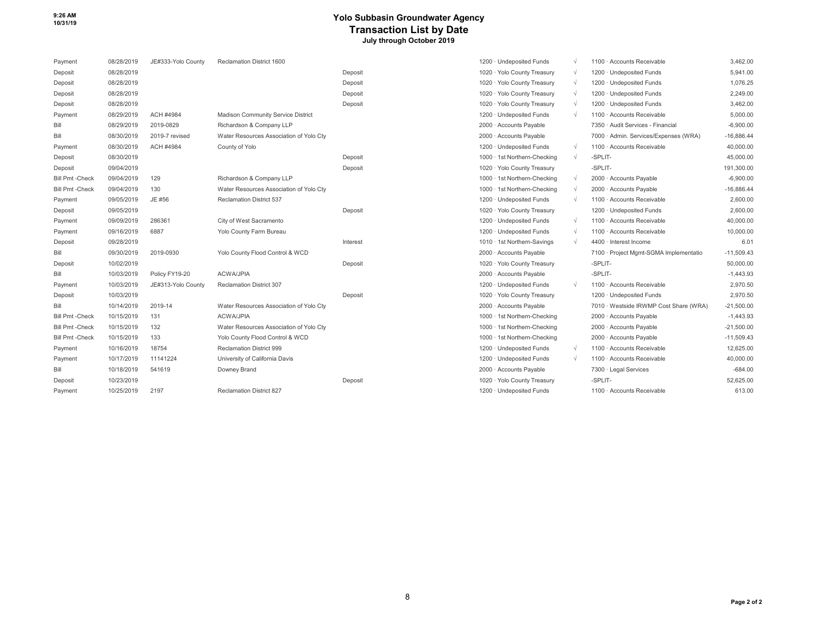### **10/31/19 Yolo Subbasin Groundwater Agency Transaction List by Date July through October 2019**

| Payment                | 08/28/2019 | JE#333-Yolo County | Reclamation District 1600               |          | 1200 · Undeposited Funds     |            | 1100 · Accounts Receivable             | 3,462.00     |
|------------------------|------------|--------------------|-----------------------------------------|----------|------------------------------|------------|----------------------------------------|--------------|
| Deposit                | 08/28/2019 |                    |                                         | Deposit  | 1020 · Yolo County Treasury  |            | 1200 · Undeposited Funds               | 5.941.00     |
| Deposit                | 08/28/2019 |                    |                                         | Deposit  | 1020 · Yolo County Treasury  | $\gamma$   | 1200 · Undeposited Funds               | 1.076.25     |
| Deposit                | 08/28/2019 |                    |                                         | Deposit  | 1020 · Yolo County Treasury  | $\gamma$   | 1200 · Undeposited Funds               | 2.249.00     |
| Deposit                | 08/28/2019 |                    |                                         | Deposit  | 1020 · Yolo County Treasury  |            | 1200 · Undeposited Funds               | 3,462.00     |
| Payment                | 08/29/2019 | ACH #4984          | Madison Community Service District      |          | 1200 · Undeposited Funds     | $\Delta$   | 1100 · Accounts Receivable             | 5.000.00     |
| Bill                   | 08/29/2019 | 2019-0829          | Richardson & Company LLP                |          | 2000 · Accounts Payable      |            | 7350 · Audit Services - Financial      | $-6,900.00$  |
| Bill                   | 08/30/2019 | 2019-7 revised     | Water Resources Association of Yolo Cty |          | 2000 · Accounts Payable      |            | 7000 · Admin. Services/Expenses (WRA)  | $-16,886.44$ |
| Payment                | 08/30/2019 | ACH #4984          | County of Yolo                          |          | 1200 · Undeposited Funds     | $\gamma$   | 1100 · Accounts Receivable             | 40,000.00    |
| Deposit                | 08/30/2019 |                    |                                         | Deposit  | 1000 · 1st Northern-Checking | $\Delta$   | -SPLIT-                                | 45,000.00    |
| Deposit                | 09/04/2019 |                    |                                         | Deposit  | 1020 · Yolo County Treasury  |            | -SPLIT-                                | 191,300.00   |
| <b>Bill Pmt -Check</b> | 09/04/2019 | 129                | Richardson & Company LLP                |          | 1000 · 1st Northern-Checking |            | 2000 · Accounts Payable                | $-6.900.00$  |
| <b>Bill Pmt-Check</b>  | 09/04/2019 | 130                | Water Resources Association of Yolo Cty |          | 1000 · 1st Northern-Checking |            | 2000 · Accounts Payable                | $-16,886.44$ |
| Payment                | 09/05/2019 | JE #56             | Reclamation District 537                |          | 1200 · Undeposited Funds     | $\gamma$   | 1100 · Accounts Receivable             | 2,600.00     |
| Deposit                | 09/05/2019 |                    |                                         | Deposit  | 1020 · Yolo County Treasury  |            | 1200 · Undeposited Funds               | 2.600.00     |
| Payment                | 09/09/2019 | 286361             | City of West Sacramento                 |          | 1200 · Undeposited Funds     |            | 1100 · Accounts Receivable             | 40,000.00    |
| Payment                | 09/16/2019 | 6887               | Yolo County Farm Bureau                 |          | 1200 · Undeposited Funds     | $\gamma$   | 1100 · Accounts Receivable             | 10,000.00    |
| Deposit                | 09/28/2019 |                    |                                         | Interest | 1010 · 1st Northern-Savings  | $\sqrt{ }$ | 4400 · Interest Income                 | 6.01         |
| Bill                   | 09/30/2019 | 2019-0930          | Yolo County Flood Control & WCD         |          | 2000 · Accounts Payable      |            | 7100 · Project Mgmt-SGMA Implementatio | $-11,509.43$ |
| Deposit                | 10/02/2019 |                    |                                         | Deposit  | 1020 · Yolo County Treasury  |            | -SPLIT-                                | 50,000.00    |
| Bill                   | 10/03/2019 | Policy FY19-20     | <b>ACWA/JPIA</b>                        |          | 2000 · Accounts Payable      |            | -SPLIT-                                | $-1,443.93$  |
| Payment                | 10/03/2019 | JE#313-Yolo County | Reclamation District 307                |          | 1200 · Undeposited Funds     |            | 1100 · Accounts Receivable             | 2,970.50     |
| Deposit                | 10/03/2019 |                    |                                         | Deposit  | 1020 · Yolo County Treasury  |            | 1200 · Undeposited Funds               | 2,970.50     |
| Bill                   | 10/14/2019 | 2019-14            | Water Resources Association of Yolo Cty |          | 2000 · Accounts Payable      |            | 7010 · Westside IRWMP Cost Share (WRA) | $-21,500.00$ |
| <b>Bill Pmt -Check</b> | 10/15/2019 | 131                | <b>ACWA/JPIA</b>                        |          | 1000 · 1st Northern-Checking |            | 2000 · Accounts Payable                | $-1,443.93$  |
| <b>Bill Pmt -Check</b> | 10/15/2019 | 132                | Water Resources Association of Yolo Cty |          | 1000 · 1st Northern-Checking |            | 2000 · Accounts Payable                | $-21,500.00$ |
| <b>Bill Pmt -Check</b> | 10/15/2019 | 133                | Yolo County Flood Control & WCD         |          | 1000 · 1st Northern-Checking |            | 2000 · Accounts Payable                | $-11,509.43$ |
| Payment                | 10/16/2019 | 18754              | <b>Reclamation District 999</b>         |          | 1200 · Undeposited Funds     | $\gamma$   | 1100 · Accounts Receivable             | 12.625.00    |
| Payment                | 10/17/2019 | 11141224           | University of California Davis          |          | 1200 · Undeposited Funds     | $\sim$     | 1100 · Accounts Receivable             | 40,000.00    |
| Bill                   | 10/18/2019 | 541619             | Downey Brand                            |          | 2000 · Accounts Payable      |            | 7300 · Legal Services                  | $-684.00$    |
| Deposit                | 10/23/2019 |                    |                                         | Deposit  | 1020 · Yolo County Treasury  |            | -SPLIT-                                | 52.625.00    |
| Payment                | 10/25/2019 | 2197               | <b>Reclamation District 827</b>         |          | 1200 · Undeposited Funds     |            | 1100 · Accounts Receivable             | 613.00       |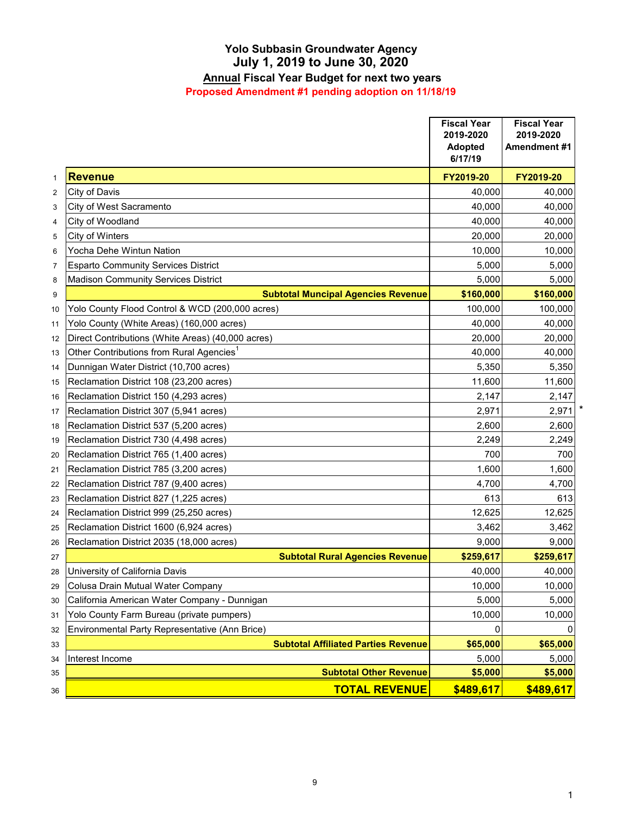# **July 1, 2019 to June 30, 2020 Yolo Subbasin Groundwater Agency**

# **Annual Fiscal Year Budget for next two years**

**Proposed Amendment #1 pending adoption on 11/18/19**

|                |                                                      | <b>Fiscal Year</b><br>2019-2020<br><b>Adopted</b><br>6/17/19 | <b>Fiscal Year</b><br>2019-2020<br>Amendment #1 |
|----------------|------------------------------------------------------|--------------------------------------------------------------|-------------------------------------------------|
| $\mathbf{1}$   | <b>Revenue</b>                                       | FY2019-20                                                    | FY2019-20                                       |
| $\overline{2}$ | City of Davis                                        | 40,000                                                       | 40.000                                          |
| 3              | City of West Sacramento                              | 40,000                                                       | 40,000                                          |
| $\overline{4}$ | City of Woodland                                     | 40,000                                                       | 40,000                                          |
| 5              | City of Winters                                      | 20,000                                                       | 20,000                                          |
| 6              | Yocha Dehe Wintun Nation                             | 10,000                                                       | 10,000                                          |
| $\overline{7}$ | <b>Esparto Community Services District</b>           | 5,000                                                        | 5,000                                           |
| 8              | <b>Madison Community Services District</b>           | 5,000                                                        | 5,000                                           |
| 9              | <b>Subtotal Muncipal Agencies Revenue</b>            | \$160,000                                                    | \$160,000                                       |
| 10             | Yolo County Flood Control & WCD (200,000 acres)      | 100,000                                                      | 100,000                                         |
| 11             | Yolo County (White Areas) (160,000 acres)            | 40,000                                                       | 40,000                                          |
| 12             | Direct Contributions (White Areas) (40,000 acres)    | 20,000                                                       | 20,000                                          |
| 13             | Other Contributions from Rural Agencies <sup>1</sup> | 40,000                                                       | 40,000                                          |
| 14             | Dunnigan Water District (10,700 acres)               | 5,350                                                        | 5,350                                           |
| 15             | Reclamation District 108 (23,200 acres)              | 11,600                                                       | 11,600                                          |
| 16             | Reclamation District 150 (4,293 acres)               | 2,147                                                        | 2,147                                           |
| 17             | Reclamation District 307 (5,941 acres)               | 2,971                                                        | 2,971                                           |
| 18             | Reclamation District 537 (5,200 acres)               | 2,600                                                        | 2,600                                           |
| 19             | Reclamation District 730 (4,498 acres)               | 2,249                                                        | 2,249                                           |
| 20             | Reclamation District 765 (1,400 acres)               | 700                                                          | 700                                             |
| 21             | Reclamation District 785 (3,200 acres)               | 1,600                                                        | 1,600                                           |
| 22             | Reclamation District 787 (9,400 acres)               | 4,700                                                        | 4,700                                           |
| 23             | Reclamation District 827 (1,225 acres)               | 613                                                          | 613                                             |
| 24             | Reclamation District 999 (25,250 acres)              | 12,625                                                       | 12,625                                          |
| 25             | Reclamation District 1600 (6,924 acres)              | 3,462                                                        | 3,462                                           |
| 26             | Reclamation District 2035 (18,000 acres)             | 9,000                                                        | 9,000                                           |
| 27             | <b>Subtotal Rural Agencies Revenue</b>               | \$259,617                                                    | \$259,617                                       |
| 28             | University of California Davis                       | 40,000                                                       | 40,000                                          |
| 29             | Colusa Drain Mutual Water Company                    | 10,000                                                       | 10,000                                          |
| 30             | California American Water Company - Dunnigan         | 5,000                                                        | 5,000                                           |
| 31             | Yolo County Farm Bureau (private pumpers)            | 10,000                                                       | 10,000                                          |
| 32             | Environmental Party Representative (Ann Brice)       | 0                                                            |                                                 |
| 33             | <b>Subtotal Affiliated Parties Revenue</b>           | \$65,000                                                     | \$65,000                                        |
| 34             | Interest Income                                      | 5,000                                                        | 5,000                                           |
| 35             | <b>Subtotal Other Revenue</b>                        | \$5,000                                                      | \$5,000                                         |
| 36             | <b>TOTAL REVENUE</b>                                 | \$489,617                                                    | \$489,617                                       |